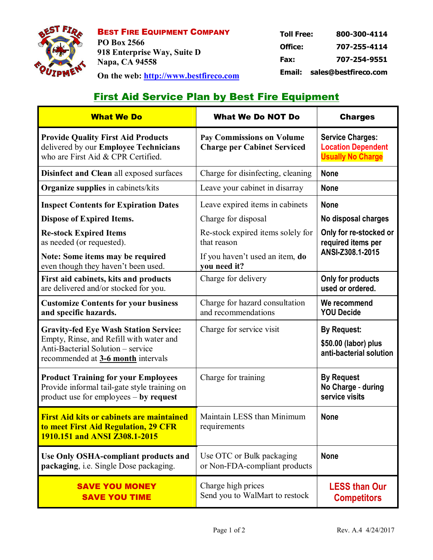

BEST FIRE EQUIPMENT COMPANY **PO Box 2566 918 Enterprise Way, Suite D Napa, CA 94558 On the web: http://www.bestfireco.com**

| Email:            | sales@bestfireco.com |  |
|-------------------|----------------------|--|
| Fax:              | 707-254-9551         |  |
| Office:           | 707-255-4114         |  |
| <b>Toll Free:</b> | 800-300-4114         |  |

# **First Aid Service Plan by Best Fire Equipment**

| <b>What We Do</b>                                                                                                                                                  | <b>What We Do NOT Do</b>                                               | <b>Charges</b>                                                                   |  |
|--------------------------------------------------------------------------------------------------------------------------------------------------------------------|------------------------------------------------------------------------|----------------------------------------------------------------------------------|--|
| <b>Provide Quality First Aid Products</b><br>delivered by our Employee Technicians<br>who are First Aid & CPR Certified.                                           | <b>Pay Commissions on Volume</b><br><b>Charge per Cabinet Serviced</b> | <b>Service Charges:</b><br><b>Location Dependent</b><br><b>Usually No Charge</b> |  |
| <b>Disinfect and Clean all exposed surfaces</b>                                                                                                                    | Charge for disinfecting, cleaning                                      | <b>None</b>                                                                      |  |
| <b>Organize supplies</b> in cabinets/kits                                                                                                                          | Leave your cabinet in disarray                                         | <b>None</b>                                                                      |  |
| <b>Inspect Contents for Expiration Dates</b>                                                                                                                       | Leave expired items in cabinets                                        | <b>None</b>                                                                      |  |
| <b>Dispose of Expired Items.</b>                                                                                                                                   | Charge for disposal                                                    | No disposal charges                                                              |  |
| <b>Re-stock Expired Items</b><br>as needed (or requested).                                                                                                         | Re-stock expired items solely for<br>that reason                       | Only for re-stocked or<br>required items per<br>ANSI-Z308.1-2015                 |  |
| Note: Some items may be required<br>even though they haven't been used.                                                                                            | If you haven't used an item, do<br>you need it?                        |                                                                                  |  |
| First aid cabinets, kits and products<br>are delivered and/or stocked for you.                                                                                     | Charge for delivery                                                    | Only for products<br>used or ordered.                                            |  |
| <b>Customize Contents for your business</b><br>and specific hazards.                                                                                               | Charge for hazard consultation<br>and recommendations                  | We recommend<br><b>YOU Decide</b>                                                |  |
| <b>Gravity-fed Eye Wash Station Service:</b><br>Empty, Rinse, and Refill with water and<br>Anti-Bacterial Solution – service<br>recommended at 3-6 month intervals | Charge for service visit                                               | <b>By Request:</b><br>\$50.00 (labor) plus<br>anti-bacterial solution            |  |
| <b>Product Training for your Employees</b><br>Provide informal tail-gate style training on<br>product use for employees $-$ by request                             | Charge for training                                                    | <b>By Request</b><br>No Charge - during<br>service visits                        |  |
| <b>First Aid kits or cabinets are maintained</b><br>to meet First Aid Regulation, 29 CFR<br>1910.151 and ANSI Z308.1-2015                                          | Maintain LESS than Minimum<br>requirements                             | <b>None</b>                                                                      |  |
| <b>Use Only OSHA-compliant products and</b><br>packaging, i.e. Single Dose packaging.                                                                              | Use OTC or Bulk packaging<br>or Non-FDA-compliant products             | <b>None</b>                                                                      |  |
| <b>SAVE YOU MONEY</b><br><b>SAVE YOU TIME</b>                                                                                                                      | Charge high prices<br>Send you to WalMart to restock                   | <b>LESS than Our</b><br><b>Competitors</b>                                       |  |